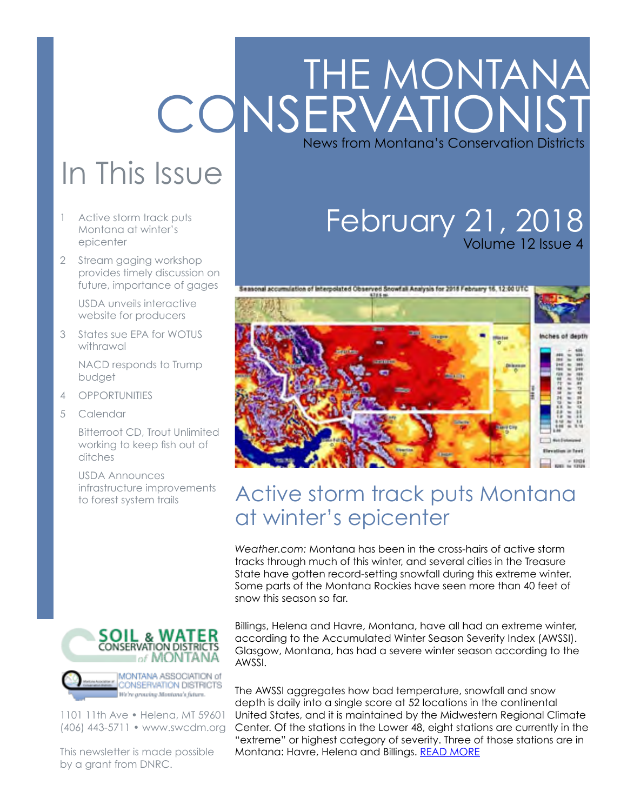# THE MONTANA **CONSERVATIONIST** News from Montana's Conservation Districts

# In This Issue

- 1 Active storm track puts Montana at winter's epicenter
- 2 [Stream gaging workshop](#page-1-0)  [provides timely discussion on](#page-1-0)  [future, importance of gages](#page-1-0)

[USDA unveils interactive](#page-1-0)  [website for producers](#page-1-0)

3 [States sue EPA for WOTUS](#page-2-0)  [withrawal](#page-2-0) 

> [NACD responds to Trump](#page-2-0)  [budget](#page-2-0)

- 4 [OPPORTUNITIES](#page-3-0)
- 5 [Calendar](#page-4-0)

[Bitterroot CD, Trout Unlimited](#page-4-0)  [working to keep fish out of](#page-4-0)  [ditches](#page-4-0) 

[USDA Announces](#page-4-0)  [infrastructure improvements](#page-4-0)  [to forest system trails](#page-4-0)



1101 11th Ave • Helena, MT 59601 (406) 443-5711 • www.swcdm.org

This newsletter is made possible by a grant from DNRC.

## February 21, 2018 Volume 12 Issue 4



## Active storm track puts Montana at winter's epicenter

*Weather.com:* Montana has been in the cross-hairs of active storm tracks through much of this winter, and several cities in the Treasure State have gotten record-setting snowfall during this extreme winter. Some parts of the Montana Rockies have seen more than 40 feet of snow this season so far.

Billings, Helena and Havre, Montana, have all had an extreme winter, according to the Accumulated Winter Season Severity Index (AWSSI). Glasgow, Montana, has had a severe winter season according to the AWSSI.

The AWSSI aggregates how bad temperature, snowfall and snow depth is daily into a single score at 52 locations in the continental United States, and it is maintained by the Midwestern Regional Climate Center. Of the stations in the Lower 48, eight stations are currently in the "extreme" or highest category of severity. Three of those stations are in Montana: Havre, Helena and Billings. [READ MORE](https://weather.com/news/weather/news/2018-02-16-2017-montana-extreme-winter)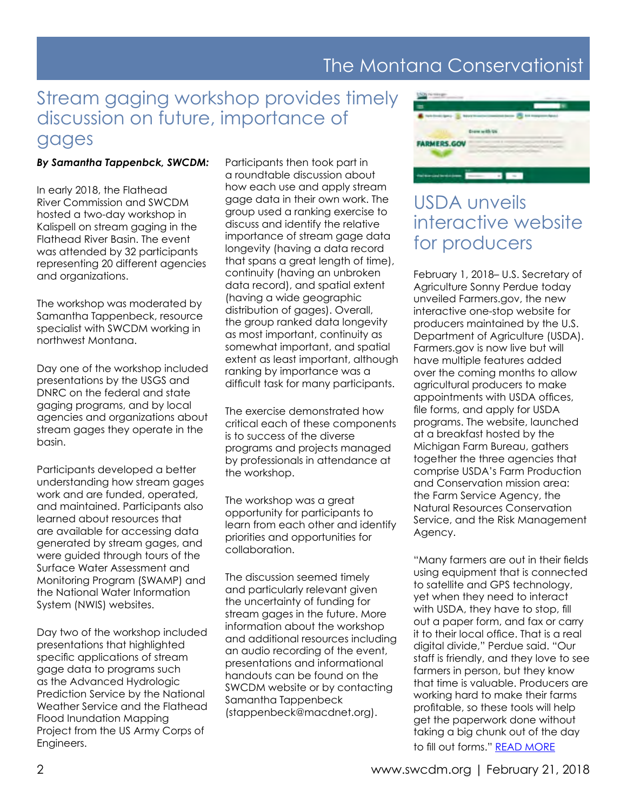## The Montana Conservationist

### <span id="page-1-0"></span>Stream gaging workshop provides timely discussion on future, importance of gages

#### *By Samantha Tappenbck, SWCDM:*

In early 2018, the Flathead River Commission and SWCDM hosted a two-day workshop in Kalispell on stream gaging in the Flathead River Basin. The event was attended by 32 participants representing 20 different agencies and organizations.

The workshop was moderated by Samantha Tappenbeck, resource specialist with SWCDM working in northwest Montana.

Day one of the workshop included presentations by the USGS and DNRC on the federal and state gaging programs, and by local agencies and organizations about stream gages they operate in the basin.

Participants developed a better understanding how stream gages work and are funded, operated, and maintained. Participants also learned about resources that are available for accessing data generated by stream gages, and were guided through tours of the Surface Water Assessment and Monitoring Program (SWAMP) and the National Water Information System (NWIS) websites.

Day two of the workshop included presentations that highlighted specific applications of stream gage data to programs such as the Advanced Hydrologic Prediction Service by the National Weather Service and the Flathead Flood Inundation Mapping Project from the US Army Corps of Engineers.

Participants then took part in a roundtable discussion about how each use and apply stream gage data in their own work. The group used a ranking exercise to discuss and identify the relative importance of stream gage data longevity (having a data record that spans a great length of time), continuity (having an unbroken data record), and spatial extent (having a wide geographic distribution of gages). Overall, the group ranked data longevity as most important, continuity as somewhat important, and spatial extent as least important, although ranking by importance was a difficult task for many participants.

The exercise demonstrated how critical each of these components is to success of the diverse programs and projects managed by professionals in attendance at the workshop.

The workshop was a great opportunity for participants to learn from each other and identify priorities and opportunities for collaboration.

The discussion seemed timely and particularly relevant given the uncertainty of funding for stream gages in the future. More information about the workshop and additional resources including an audio recording of the event, presentations and informational handouts can be found on the SWCDM website or by contacting Samantha Tappenbeck (stappenbeck@macdnet.org).



## USDA unveils interactive website for producers

February 1, 2018– U.S. Secretary of Agriculture Sonny Perdue today unveiled Farmers.gov, the new interactive one-stop website for producers maintained by the U.S. Department of Agriculture (USDA). Farmers.gov is now live but will have multiple features added over the coming months to allow agricultural producers to make appointments with USDA offices, file forms, and apply for USDA programs. The website, launched at a breakfast hosted by the Michigan Farm Bureau, gathers together the three agencies that comprise USDA's Farm Production and Conservation mission area: the Farm Service Agency, the Natural Resources Conservation Service, and the Risk Management Agency.

"Many farmers are out in their fields using equipment that is connected to satellite and GPS technology, yet when they need to interact with USDA, they have to stop, fill out a paper form, and fax or carry it to their local office. That is a real digital divide," Perdue said. "Our staff is friendly, and they love to see farmers in person, but they know that time is valuable. Producers are working hard to make their farms profitable, so these tools will help get the paperwork done without taking a big chunk out of the day to fill out forms." [READ MORE](https://www.usda.gov/media/press-releases/2018/02/01/perdue-unveils-farmersgov-interactive-website-agricultural)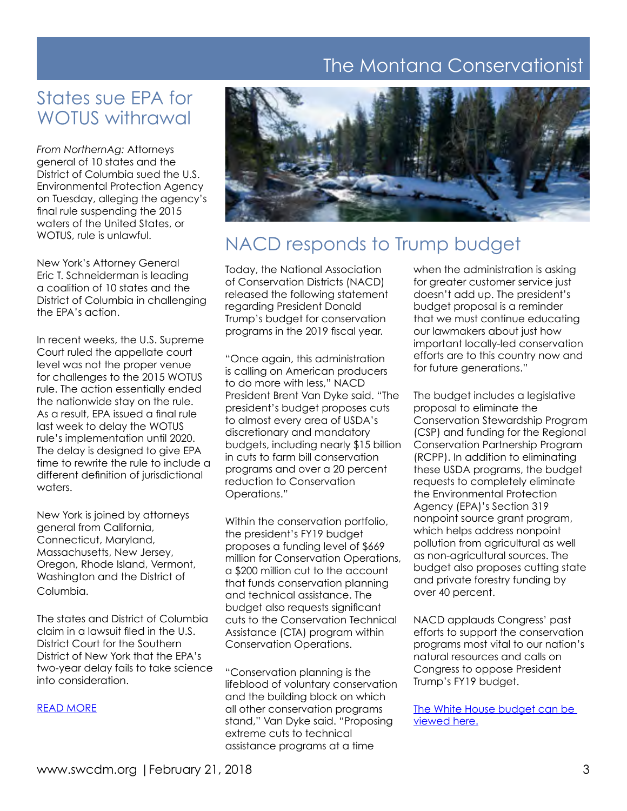## The Montana Conservationist

## <span id="page-2-0"></span>States sue EPA for WOTUS withrawal

*From NorthernAg:* Attorneys general of 10 states and the District of Columbia sued the U.S. Environmental Protection Agency on Tuesday, alleging the agency's final rule suspending the 2015 waters of the United States, or WOTUS, rule is unlawful.

New York's Attorney General Eric T. Schneiderman is leading a coalition of 10 states and the District of Columbia in challenging the EPA's action.

In recent weeks, the U.S. Supreme Court ruled the appellate court level was not the proper venue for challenges to the 2015 WOTUS rule. The action essentially ended the nationwide stay on the rule. As a result, EPA issued a final rule last week to delay the WOTUS rule's implementation until 2020. The delay is designed to give EPA time to rewrite the rule to include a different definition of jurisdictional waters.

New York is joined by attorneys general from California, Connecticut, Maryland, Massachusetts, New Jersey, Oregon, Rhode Island, Vermont, Washington and the District of Columbia.

The states and District of Columbia claim in a lawsuit filed in the U.S. District Court for the Southern District of New York that the EPA's two-year delay fails to take science into consideration.

#### [READ MORE](http://www.northernag.net/AGNews/AgNewsStories/TabId/657/ArtMID/2927/ArticleID/8711/New-WOTUS-Lawsuit-Filed.aspx?utm_source=Northern+Ag+Newsletter+List&utm_campaign=dfd28ca686-EMAIL_CAMPAIGN_2018_1_08&utm_medium=email&utm_term=0_9dbf0f64b3-dfd28ca686-44884269)



### NACD responds to Trump budget

Today, the National Association of Conservation Districts (NACD) released the following statement regarding President Donald Trump's budget for conservation programs in the 2019 fiscal year.

"Once again, this administration is calling on American producers to do more with less," NACD President Brent Van Dyke said. "The president's budget proposes cuts to almost every area of USDA's discretionary and mandatory budgets, including nearly \$15 billion in cuts to farm bill conservation programs and over a 20 percent reduction to Conservation Operations."

Within the conservation portfolio, the president's FY19 budget proposes a funding level of \$669 million for Conservation Operations, a \$200 million cut to the account that funds conservation planning and technical assistance. The budget also requests significant cuts to the Conservation Technical Assistance (CTA) program within Conservation Operations.

"Conservation planning is the lifeblood of voluntary conservation and the building block on which all other conservation programs stand," Van Dyke said. "Proposing extreme cuts to technical assistance programs at a time

when the administration is asking for greater customer service just doesn't add up. The president's budget proposal is a reminder that we must continue educating our lawmakers about just how important locally-led conservation efforts are to this country now and for future generations."

The budget includes a legislative proposal to eliminate the Conservation Stewardship Program (CSP) and funding for the Regional Conservation Partnership Program (RCPP). In addition to eliminating these USDA programs, the budget requests to completely eliminate the Environmental Protection Agency (EPA)'s Section 319 nonpoint source grant program, which helps address nonpoint pollution from agricultural as well as non-agricultural sources. The budget also proposes cutting state and private forestry funding by over 40 percent.

NACD applauds Congress' past efforts to support the conservation programs most vital to our nation's natural resources and calls on Congress to oppose President Trump's FY19 budget.

[The White House budget can be](https://www.whitehouse.gov/wp-content/uploads/2018/02/budget-fy2019.pdf)  [viewed here.](https://www.whitehouse.gov/wp-content/uploads/2018/02/budget-fy2019.pdf)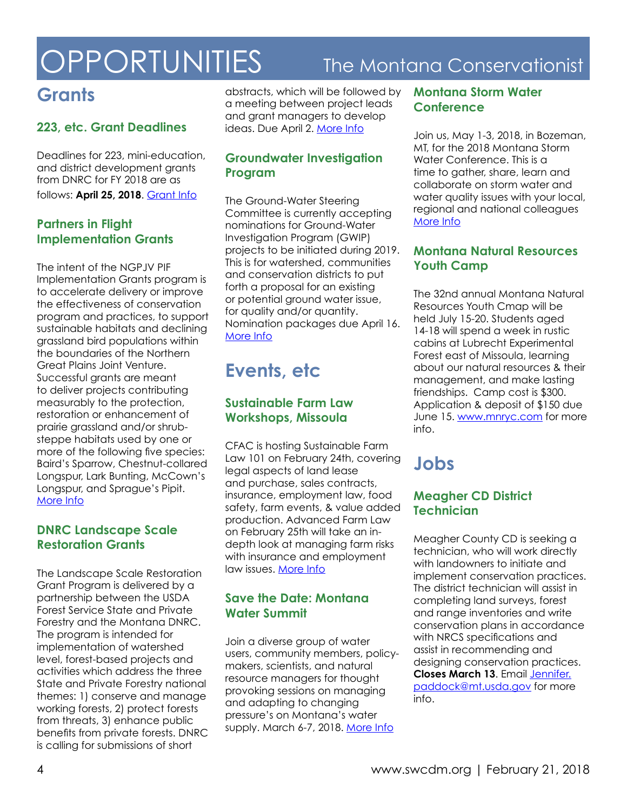# <span id="page-3-0"></span>**OPPORTUNITIES**

## The Montana Conservationist

## **Grants**

#### **223, etc. Grant Deadlines**

Deadlines for 223, mini-education, and district development grants from DNRC for FY 2018 are as follows: **April 25, 2018**. [Grant Info](http://dnrc.mt.gov/grants-and-loans)

#### **Partners in Flight Implementation Grants**

The intent of the NGPJV PIF Implementation Grants program is to accelerate delivery or improve the effectiveness of conservation program and practices, to support sustainable habitats and declining grassland bird populations within the boundaries of the Northern Great Plains Joint Venture. Successful grants are meant to deliver projects contributing measurably to the protection, restoration or enhancement of prairie grassland and/or shrubsteppe habitats used by one or more of the following five species: Baird's Sparrow, Chestnut-collared Longspur, Lark Bunting, McCown's Longspur, and Sprague's Pipit. [More Info](http://ngpjv.org/)

#### **DNRC Landscape Scale Restoration Grants**

The Landscape Scale Restoration Grant Program is delivered by a partnership between the USDA Forest Service State and Private Forestry and the Montana DNRC. The program is intended for implementation of watershed level, forest-based projects and activities which address the three State and Private Forestry national themes: 1) conserve and manage working forests, 2) protect forests from threats, 3) enhance public benefits from private forests. DNRC is calling for submissions of short

abstracts, which will be followed by a meeting between project leads and grant managers to develop ideas. Due April 2. [More Info](http://dnrc.mt.gov/divisions/forestry/forestry-assistance/forest-stewardship/landscape-scale-restoration-competitive-grants)

#### **Groundwater Investigation Program**

The Ground-Water Steering Committee is currently accepting nominations for Ground-Water Investigation Program (GWIP) projects to be initiated during 2019. This is for watershed, communities and conservation districts to put forth a proposal for an existing or potential ground water issue, for quality and/or quantity. Nomination packages due April 16. [More Info](http://www.mbmg.mtech.edu/gwip/gwip.html)

## **Events, etc**

#### **Sustainable Farm Law Workshops, Missoula**

CFAC is hosting Sustainable Farm Law 101 on February 24th, covering legal aspects of land lease and purchase, sales contracts, insurance, employment law, food safety, farm events, & value added production. Advanced Farm Law on February 25th will take an indepth look at managing farm risks with insurance and employment law issues. [More Info](https://www.farmlinkmontana.org/events/farmlaw2018/)

#### **Save the Date: Montana Water Summit**

Join a diverse group of water users, community members, policymakers, scientists, and natural resource managers for thought provoking sessions on managing and adapting to changing pressure's on Montana's water supply. March 6-7, 2018. [More Info](http://dnrc.mt.gov/divisions/water/management/training-education/2018-montana-water-summit)

#### **Montana Storm Water Conference**

Join us, May 1-3, 2018, in Bozeman, MT, for the 2018 Montana Storm Water Conference. This is a time to gather, share, learn and collaborate on storm water and water quality issues with your local, regional and national colleagues [More Info](http://mtstormwaterconference.org/)

#### **Montana Natural Resources Youth Camp**

The 32nd annual Montana Natural Resources Youth Cmap will be held July 15-20. Students aged 14-18 will spend a week in rustic cabins at Lubrecht Experimental Forest east of Missoula, learning about our natural resources & their management, and make lasting friendships. Camp cost is \$300. Application & deposit of \$150 due June 15. [www.mnryc.com](http://www.mnryc.com) for more info.

## **Jobs**

#### **Meagher CD District Technician**

Meagher County CD is seeking a technician, who will work directly with landowners to initiate and implement conservation practices. The district technician will assist in completing land surveys, forest and range inventories and write conservation plans in accordance with NRCS specifications and assist in recommending and designing conservation practices. **Closes March 13**. Email [Jennifer.](mailto:Jennifer.paddock@mt.usda.gov) [paddock@mt.usda.gov](mailto:Jennifer.paddock@mt.usda.gov) for more info.